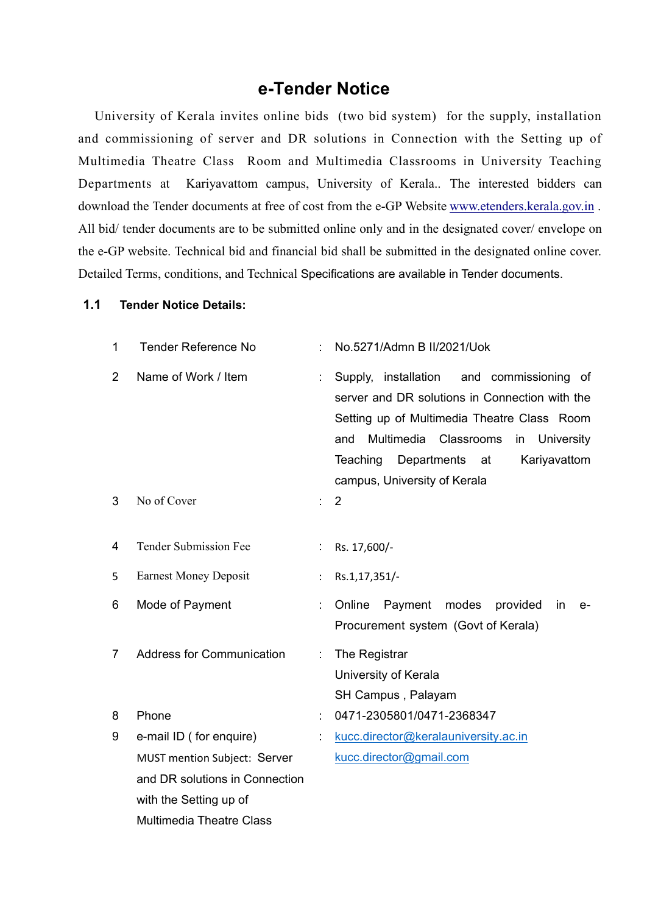## **e-Tender Notice**

University of Kerala invites online bids (two bid system) for the supply, installation and commissioning of server and DR solutions in Connection with the Setting up of Multimedia Theatre Class Room and Multimedia Classrooms in University Teaching Departments at Kariyavattom campus, University of Kerala.. The interested bidders can download the Tender documents at free of cost from the e-GP Website www.etenders.kerala.gov.in .<br>All bid/ tender documents are to be submitted online only and in the designated cover/ envelope on the e-GP website. Technical bid and financial bid shall be submitted in the designated online cover. Detailed Terms, conditions, and Technical Specifications are available in Tender documents.

## **1.1 Tender Notice Details:**

| 1              | <b>Tender Reference No</b>       |    | No.5271/Admn B II/2021/Uok                                                                                                                                                                                                                                                      |
|----------------|----------------------------------|----|---------------------------------------------------------------------------------------------------------------------------------------------------------------------------------------------------------------------------------------------------------------------------------|
| $\overline{2}$ | Name of Work / Item              |    | Supply, installation<br>and commissioning of<br>server and DR solutions in Connection with the<br>Setting up of Multimedia Theatre Class Room<br>Multimedia Classrooms<br>in University<br>and<br>Teaching<br>Departments<br>Kariyavattom<br>at<br>campus, University of Kerala |
| 3              | No of Cover                      | t. | $\overline{2}$                                                                                                                                                                                                                                                                  |
| 4              | <b>Tender Submission Fee</b>     |    | Rs. 17,600/-                                                                                                                                                                                                                                                                    |
| 5              | <b>Earnest Money Deposit</b>     |    | Rs.1,17,351/-                                                                                                                                                                                                                                                                   |
| 6              | Mode of Payment                  |    | Payment modes<br>Online<br>provided<br>in<br>$e-$<br>Procurement system (Govt of Kerala)                                                                                                                                                                                        |
| 7              | <b>Address for Communication</b> |    | The Registrar<br>University of Kerala<br>SH Campus, Palayam                                                                                                                                                                                                                     |
| 8              | Phone                            |    | 0471-2305801/0471-2368347                                                                                                                                                                                                                                                       |
| 9              | e-mail ID (for enquire)          |    | kucc.director@keralauniversity.ac.in                                                                                                                                                                                                                                            |
|                | MUST mention Subject: Server     |    | kucc.director@gmail.com                                                                                                                                                                                                                                                         |
|                | and DR solutions in Connection   |    |                                                                                                                                                                                                                                                                                 |
|                | with the Setting up of           |    |                                                                                                                                                                                                                                                                                 |
|                | <b>Multimedia Theatre Class</b>  |    |                                                                                                                                                                                                                                                                                 |